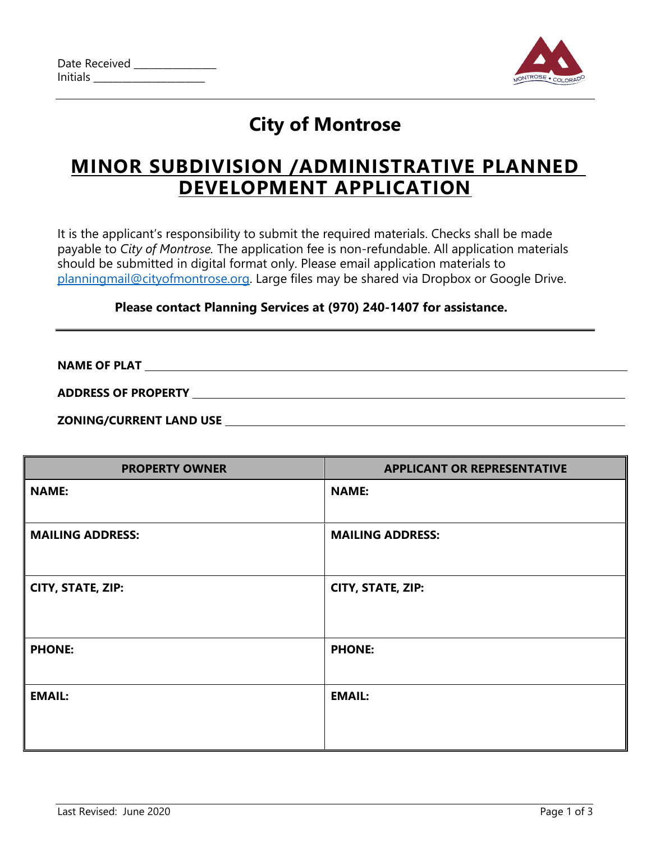

# **City of Montrose**

## **MINOR SUBDIVISION /ADMINISTRATIVE PLANNED DEVELOPMENT APPLICATION**

It is the applicant's responsibility to submit the required materials. Checks shall be made payable to *City of Montrose.* The application fee is non-refundable. All application materials should be submitted in digital format only. Please email application materials to [planningmail@cityofmontrose.org.](mailto:planningmail@cityofmontrose.org) Large files may be shared via Dropbox or Google Drive.

#### **Please contact Planning Services at (970) 240-1407 for assistance.**

**NAME OF PLAT** 

**ADDRESS OF PROPERTY**

**ZONING/CURRENT LAND USE** 

| <b>PROPERTY OWNER</b>   | <b>APPLICANT OR REPRESENTATIVE</b> |
|-------------------------|------------------------------------|
| <b>NAME:</b>            | <b>NAME:</b>                       |
| <b>MAILING ADDRESS:</b> | <b>MAILING ADDRESS:</b>            |
| CITY, STATE, ZIP:       | CITY, STATE, ZIP:                  |
| <b>PHONE:</b>           | <b>PHONE:</b>                      |
| <b>EMAIL:</b>           | <b>EMAIL:</b>                      |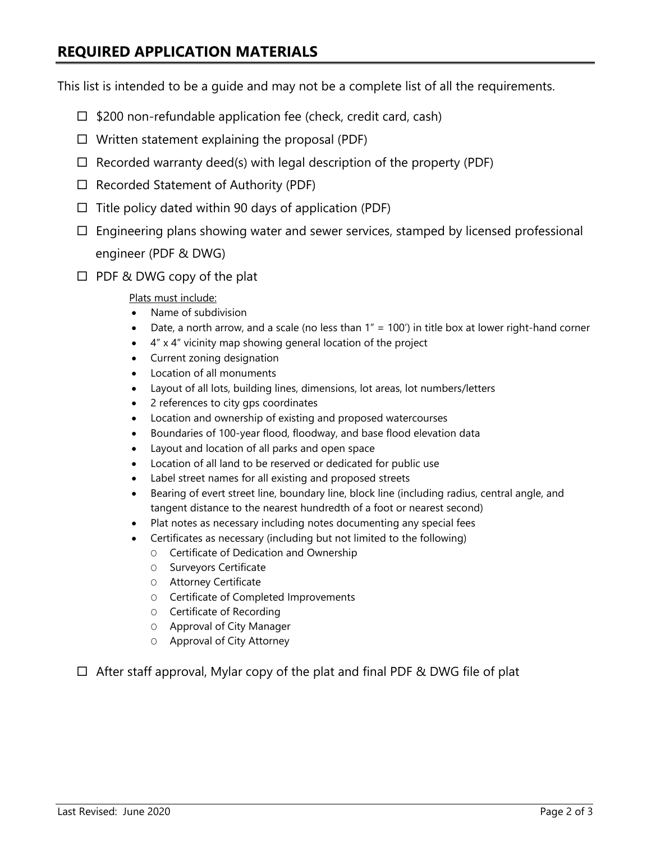### **REQUIRED APPLICATION MATERIALS**

This list is intended to be a guide and may not be a complete list of all the requirements.

- $\Box$  \$200 non-refundable application fee (check, credit card, cash)
- $\Box$  Written statement explaining the proposal (PDF)
- $\Box$  Recorded warranty deed(s) with legal description of the property (PDF)
- $\Box$  Recorded Statement of Authority (PDF)
- $\Box$  Title policy dated within 90 days of application (PDF)
- $\Box$  Engineering plans showing water and sewer services, stamped by licensed professional engineer (PDF & DWG)
- $\Box$  PDF & DWG copy of the plat

#### Plats must include:

- Name of subdivision
- Date, a north arrow, and a scale (no less than 1" = 100') in title box at lower right-hand corner
- 4" x 4" vicinity map showing general location of the project
- Current zoning designation
- Location of all monuments
- Layout of all lots, building lines, dimensions, lot areas, lot numbers/letters
- 2 references to city gps coordinates
- Location and ownership of existing and proposed watercourses
- Boundaries of 100-year flood, floodway, and base flood elevation data
- Layout and location of all parks and open space
- Location of all land to be reserved or dedicated for public use
- Label street names for all existing and proposed streets
- Bearing of evert street line, boundary line, block line (including radius, central angle, and tangent distance to the nearest hundredth of a foot or nearest second)
- Plat notes as necessary including notes documenting any special fees
- Certificates as necessary (including but not limited to the following)
	- O Certificate of Dedication and Ownership
	- O Surveyors Certificate
	- O Attorney Certificate
	- O Certificate of Completed Improvements
	- O Certificate of Recording
	- O Approval of City Manager
	- O Approval of City Attorney

 $\Box$  After staff approval, Mylar copy of the plat and final PDF & DWG file of plat